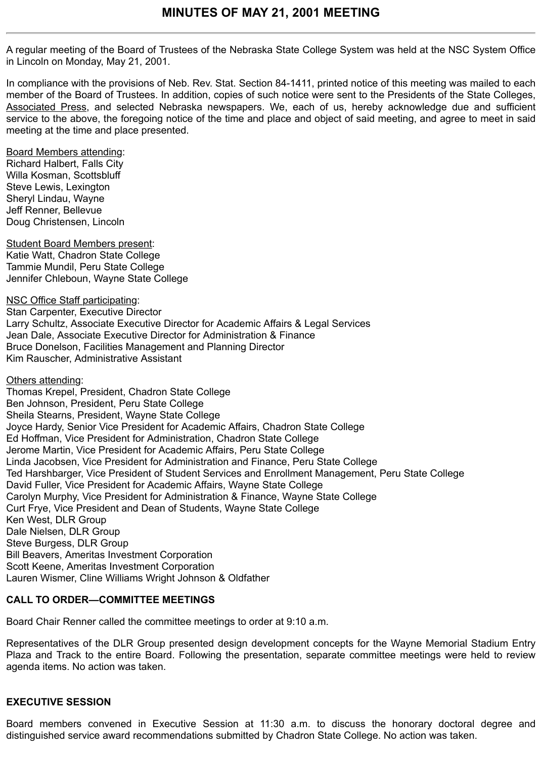A regular meeting of the Board of Trustees of the Nebraska State College System was held at the NSC System Office in Lincoln on Monday, May 21, 2001.

In compliance with the provisions of Neb. Rev. Stat. Section 84-1411, printed notice of this meeting was mailed to each member of the Board of Trustees. In addition, copies of such notice were sent to the Presidents of the State Colleges, Associated Press, and selected Nebraska newspapers. We, each of us, hereby acknowledge due and sufficient service to the above, the foregoing notice of the time and place and object of said meeting, and agree to meet in said meeting at the time and place presented.

Board Members attending: Richard Halbert, Falls City Willa Kosman, Scottsbluff Steve Lewis, Lexington Sheryl Lindau, Wayne Jeff Renner, Bellevue Doug Christensen, Lincoln

Student Board Members present: Katie Watt, Chadron State College Tammie Mundil, Peru State College Jennifer Chleboun, Wayne State College

NSC Office Staff participating: Stan Carpenter, Executive Director Larry Schultz, Associate Executive Director for Academic Affairs & Legal Services Jean Dale, Associate Executive Director for Administration & Finance Bruce Donelson, Facilities Management and Planning Director Kim Rauscher, Administrative Assistant

Others attending:

Thomas Krepel, President, Chadron State College Ben Johnson, President, Peru State College Sheila Stearns, President, Wayne State College Joyce Hardy, Senior Vice President for Academic Affairs, Chadron State College Ed Hoffman, Vice President for Administration, Chadron State College Jerome Martin, Vice President for Academic Affairs, Peru State College Linda Jacobsen, Vice President for Administration and Finance, Peru State College Ted Harshbarger, Vice President of Student Services and Enrollment Management, Peru State College David Fuller, Vice President for Academic Affairs, Wayne State College Carolyn Murphy, Vice President for Administration & Finance, Wayne State College Curt Frye, Vice President and Dean of Students, Wayne State College Ken West, DLR Group Dale Nielsen, DLR Group Steve Burgess, DLR Group Bill Beavers, Ameritas Investment Corporation Scott Keene, Ameritas Investment Corporation Lauren Wismer, Cline Williams Wright Johnson & Oldfather

# **CALL TO ORDER—COMMITTEE MEETINGS**

Board Chair Renner called the committee meetings to order at 9:10 a.m.

Representatives of the DLR Group presented design development concepts for the Wayne Memorial Stadium Entry Plaza and Track to the entire Board. Following the presentation, separate committee meetings were held to review agenda items. No action was taken.

# **EXECUTIVE SESSION**

Board members convened in Executive Session at 11:30 a.m. to discuss the honorary doctoral degree and distinguished service award recommendations submitted by Chadron State College. No action was taken.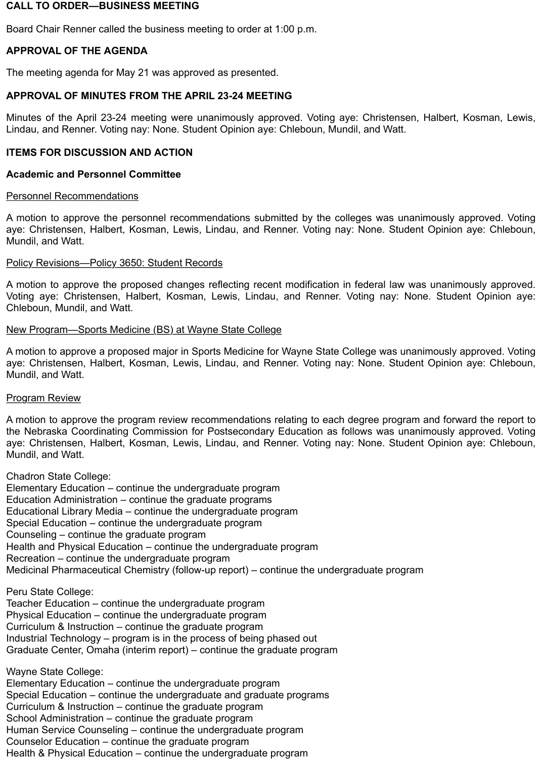### **CALL TO ORDER—BUSINESS MEETING**

Board Chair Renner called the business meeting to order at 1:00 p.m.

# **APPROVAL OF THE AGENDA**

The meeting agenda for May 21 was approved as presented.

### **APPROVAL OF MINUTES FROM THE APRIL 23-24 MEETING**

Minutes of the April 23-24 meeting were unanimously approved. Voting aye: Christensen, Halbert, Kosman, Lewis, Lindau, and Renner. Voting nay: None. Student Opinion aye: Chleboun, Mundil, and Watt.

### **ITEMS FOR DISCUSSION AND ACTION**

### **Academic and Personnel Committee**

### Personnel Recommendations

A motion to approve the personnel recommendations submitted by the colleges was unanimously approved. Voting aye: Christensen, Halbert, Kosman, Lewis, Lindau, and Renner. Voting nay: None. Student Opinion aye: Chleboun, Mundil, and Watt.

### Policy Revisions—Policy 3650: Student Records

A motion to approve the proposed changes reflecting recent modification in federal law was unanimously approved. Voting aye: Christensen, Halbert, Kosman, Lewis, Lindau, and Renner. Voting nay: None. Student Opinion aye: Chleboun, Mundil, and Watt.

### New Program—Sports Medicine (BS) at Wayne State College

A motion to approve a proposed major in Sports Medicine for Wayne State College was unanimously approved. Voting aye: Christensen, Halbert, Kosman, Lewis, Lindau, and Renner. Voting nay: None. Student Opinion aye: Chleboun, Mundil, and Watt.

### Program Review

A motion to approve the program review recommendations relating to each degree program and forward the report to the Nebraska Coordinating Commission for Postsecondary Education as follows was unanimously approved. Voting aye: Christensen, Halbert, Kosman, Lewis, Lindau, and Renner. Voting nay: None. Student Opinion aye: Chleboun, Mundil, and Watt.

Chadron State College:

Elementary Education – continue the undergraduate program Education Administration – continue the graduate programs Educational Library Media – continue the undergraduate program Special Education – continue the undergraduate program Counseling – continue the graduate program Health and Physical Education – continue the undergraduate program Recreation – continue the undergraduate program Medicinal Pharmaceutical Chemistry (follow-up report) – continue the undergraduate program

Peru State College:

Teacher Education – continue the undergraduate program Physical Education – continue the undergraduate program Curriculum & Instruction – continue the graduate program Industrial Technology – program is in the process of being phased out Graduate Center, Omaha (interim report) – continue the graduate program

Wayne State College:

Elementary Education – continue the undergraduate program Special Education – continue the undergraduate and graduate programs Curriculum & Instruction – continue the graduate program School Administration – continue the graduate program Human Service Counseling – continue the undergraduate program Counselor Education – continue the graduate program Health & Physical Education – continue the undergraduate program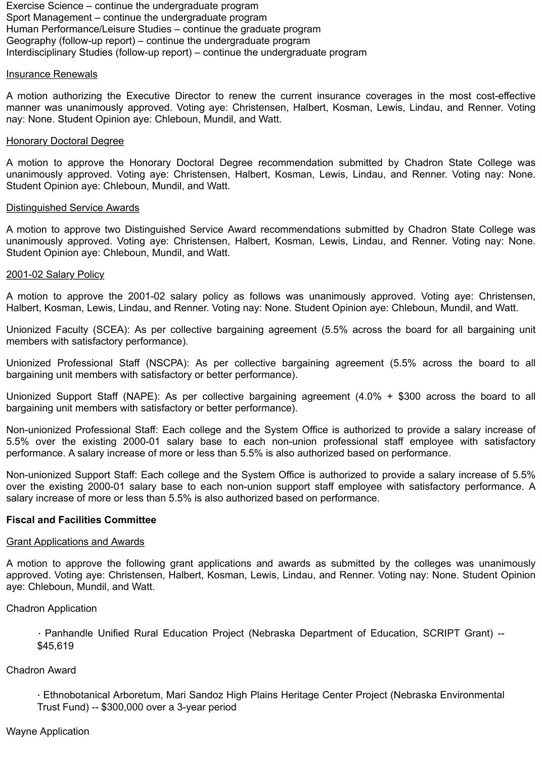Exercise Science – continue the undergraduate program Sport Management – continue the undergraduate program Human Performance/Leisure Studies – continue the graduate program Geography (follow-up report) – continue the undergraduate program Interdisciplinary Studies (follow-up report) – continue the undergraduate program

#### Insurance Renewals

A motion authorizing the Executive Director to renew the current insurance coverages in the most cost-effective manner was unanimously approved. Voting aye: Christensen, Halbert, Kosman, Lewis, Lindau, and Renner. Voting nay: None. Student Opinion aye: Chleboun, Mundil, and Watt.

#### Honorary Doctoral Degree

A motion to approve the Honorary Doctoral Degree recommendation submitted by Chadron State College was unanimously approved. Voting aye: Christensen, Halbert, Kosman, Lewis, Lindau, and Renner. Voting nay: None. Student Opinion aye: Chleboun, Mundil, and Watt.

#### Distinguished Service Awards

A motion to approve two Distinguished Service Award recommendations submitted by Chadron State College was unanimously approved. Voting aye: Christensen, Halbert, Kosman, Lewis, Lindau, and Renner. Voting nay: None. Student Opinion aye: Chleboun, Mundil, and Watt.

#### 2001-02 Salary Policy

A motion to approve the 2001-02 salary policy as follows was unanimously approved. Voting aye: Christensen, Halbert, Kosman, Lewis, Lindau, and Renner. Voting nay: None. Student Opinion aye: Chleboun, Mundil, and Watt.

Unionized Faculty (SCEA): As per collective bargaining agreement (5.5% across the board for all bargaining unit members with satisfactory performance).

Unionized Professional Staff (NSCPA): As per collective bargaining agreement (5.5% across the board to all bargaining unit members with satisfactory or better performance).

Unionized Support Staff (NAPE): As per collective bargaining agreement (4.0% + \$300 across the board to all bargaining unit members with satisfactory or better performance).

Non-unionized Professional Staff: Each college and the System Office is authorized to provide a salary increase of 5.5% over the existing 2000-01 salary base to each non-union professional staff employee with satisfactory performance. A salary increase of more or less than 5.5% is also authorized based on performance.

Non-unionized Support Staff: Each college and the System Office is authorized to provide a salary increase of 5.5% over the existing 2000-01 salary base to each non-union support staff employee with satisfactory performance. A salary increase of more or less than 5.5% is also authorized based on performance.

#### **Fiscal and Facilities Committee**

#### Grant Applications and Awards

A motion to approve the following grant applications and awards as submitted by the colleges was unanimously approved. Voting aye: Christensen, Halbert, Kosman, Lewis, Lindau, and Renner. Voting nay: None. Student Opinion aye: Chleboun, Mundil, and Watt.

#### Chadron Application

· Panhandle Unified Rural Education Project (Nebraska Department of Education, SCRIPT Grant) -- \$45,619

#### Chadron Award

· Ethnobotanical Arboretum, Mari Sandoz High Plains Heritage Center Project (Nebraska Environmental Trust Fund) -- \$300,000 over a 3-year period

#### Wayne Application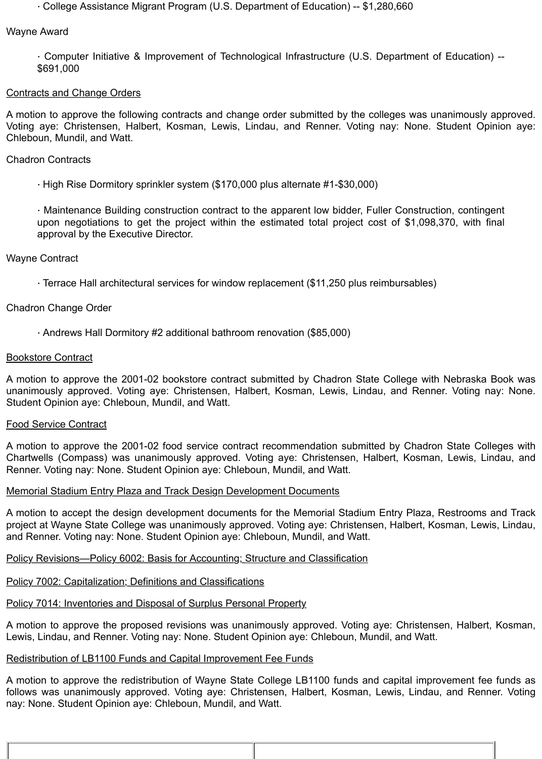· College Assistance Migrant Program (U.S. Department of Education) -- \$1,280,660

#### Wayne Award

· Computer Initiative & Improvement of Technological Infrastructure (U.S. Department of Education) -- \$691,000

### Contracts and Change Orders

A motion to approve the following contracts and change order submitted by the colleges was unanimously approved. Voting aye: Christensen, Halbert, Kosman, Lewis, Lindau, and Renner. Voting nay: None. Student Opinion aye: Chleboun, Mundil, and Watt.

# Chadron Contracts

· High Rise Dormitory sprinkler system (\$170,000 plus alternate #1-\$30,000)

· Maintenance Building construction contract to the apparent low bidder, Fuller Construction, contingent upon negotiations to get the project within the estimated total project cost of \$1,098,370, with final approval by the Executive Director.

# Wayne Contract

· Terrace Hall architectural services for window replacement (\$11,250 plus reimbursables)

# Chadron Change Order

· Andrews Hall Dormitory #2 additional bathroom renovation (\$85,000)

### Bookstore Contract

A motion to approve the 2001-02 bookstore contract submitted by Chadron State College with Nebraska Book was unanimously approved. Voting aye: Christensen, Halbert, Kosman, Lewis, Lindau, and Renner. Voting nay: None. Student Opinion aye: Chleboun, Mundil, and Watt.

### Food Service Contract

A motion to approve the 2001-02 food service contract recommendation submitted by Chadron State Colleges with Chartwells (Compass) was unanimously approved. Voting aye: Christensen, Halbert, Kosman, Lewis, Lindau, and Renner. Voting nay: None. Student Opinion aye: Chleboun, Mundil, and Watt.

### Memorial Stadium Entry Plaza and Track Design Development Documents

A motion to accept the design development documents for the Memorial Stadium Entry Plaza, Restrooms and Track project at Wayne State College was unanimously approved. Voting aye: Christensen, Halbert, Kosman, Lewis, Lindau, and Renner. Voting nay: None. Student Opinion aye: Chleboun, Mundil, and Watt.

### Policy Revisions—Policy 6002: Basis for Accounting; Structure and Classification

### Policy 7002: Capitalization; Definitions and Classifications

# Policy 7014: Inventories and Disposal of Surplus Personal Property

A motion to approve the proposed revisions was unanimously approved. Voting aye: Christensen, Halbert, Kosman, Lewis, Lindau, and Renner. Voting nay: None. Student Opinion aye: Chleboun, Mundil, and Watt.

### Redistribution of LB1100 Funds and Capital Improvement Fee Funds

A motion to approve the redistribution of Wayne State College LB1100 funds and capital improvement fee funds as follows was unanimously approved. Voting aye: Christensen, Halbert, Kosman, Lewis, Lindau, and Renner. Voting nay: None. Student Opinion aye: Chleboun, Mundil, and Watt.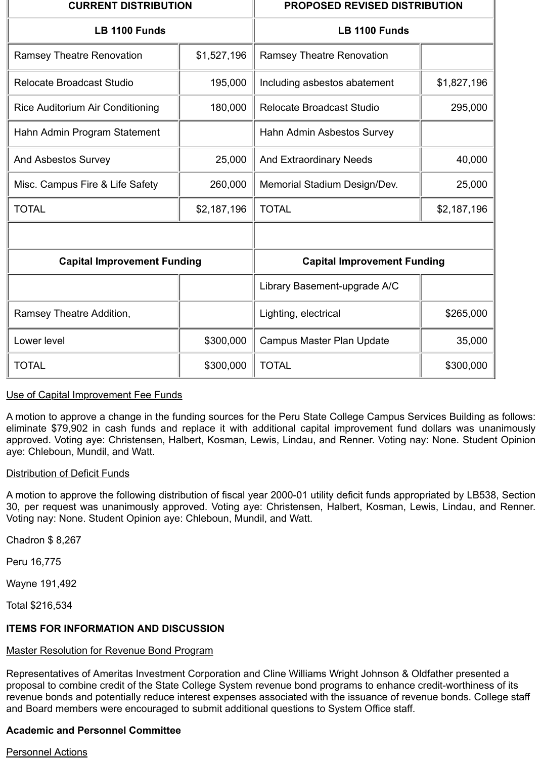| <b>CURRENT DISTRIBUTION</b>             |             | <b>PROPOSED REVISED DISTRIBUTION</b> |             |
|-----------------------------------------|-------------|--------------------------------------|-------------|
| <b>LB 1100 Funds</b>                    |             | LB 1100 Funds                        |             |
| <b>Ramsey Theatre Renovation</b>        | \$1,527,196 | <b>Ramsey Theatre Renovation</b>     |             |
| <b>Relocate Broadcast Studio</b>        | 195,000     | Including asbestos abatement         | \$1,827,196 |
| <b>Rice Auditorium Air Conditioning</b> | 180,000     | <b>Relocate Broadcast Studio</b>     | 295,000     |
| Hahn Admin Program Statement            |             | Hahn Admin Asbestos Survey           |             |
| <b>And Asbestos Survey</b>              | 25,000      | <b>And Extraordinary Needs</b>       | 40,000      |
| Misc. Campus Fire & Life Safety         | 260,000     | Memorial Stadium Design/Dev.         | 25,000      |
| <b>TOTAL</b>                            | \$2,187,196 | <b>TOTAL</b>                         | \$2,187,196 |
|                                         |             |                                      |             |
| <b>Capital Improvement Funding</b>      |             | <b>Capital Improvement Funding</b>   |             |
|                                         |             | Library Basement-upgrade A/C         |             |
| Ramsey Theatre Addition,                |             | Lighting, electrical                 | \$265,000   |
| Lower level                             | \$300,000   | <b>Campus Master Plan Update</b>     | 35,000      |
| <b>TOTAL</b>                            | \$300,000   | <b>TOTAL</b>                         | \$300,000   |

# Use of Capital Improvement Fee Funds

A motion to approve a change in the funding sources for the Peru State College Campus Services Building as follows: eliminate \$79,902 in cash funds and replace it with additional capital improvement fund dollars was unanimously approved. Voting aye: Christensen, Halbert, Kosman, Lewis, Lindau, and Renner. Voting nay: None. Student Opinion aye: Chleboun, Mundil, and Watt.

### Distribution of Deficit Funds

A motion to approve the following distribution of fiscal year 2000-01 utility deficit funds appropriated by LB538, Section 30, per request was unanimously approved. Voting aye: Christensen, Halbert, Kosman, Lewis, Lindau, and Renner. Voting nay: None. Student Opinion aye: Chleboun, Mundil, and Watt.

Chadron \$ 8,267

Peru 16,775

Wayne 191,492

Total \$216,534

### **ITEMS FOR INFORMATION AND DISCUSSION**

### Master Resolution for Revenue Bond Program

Representatives of Ameritas Investment Corporation and Cline Williams Wright Johnson & Oldfather presented a proposal to combine credit of the State College System revenue bond programs to enhance credit-worthiness of its revenue bonds and potentially reduce interest expenses associated with the issuance of revenue bonds. College staff and Board members were encouraged to submit additional questions to System Office staff.

# **Academic and Personnel Committee**

#### Personnel Actions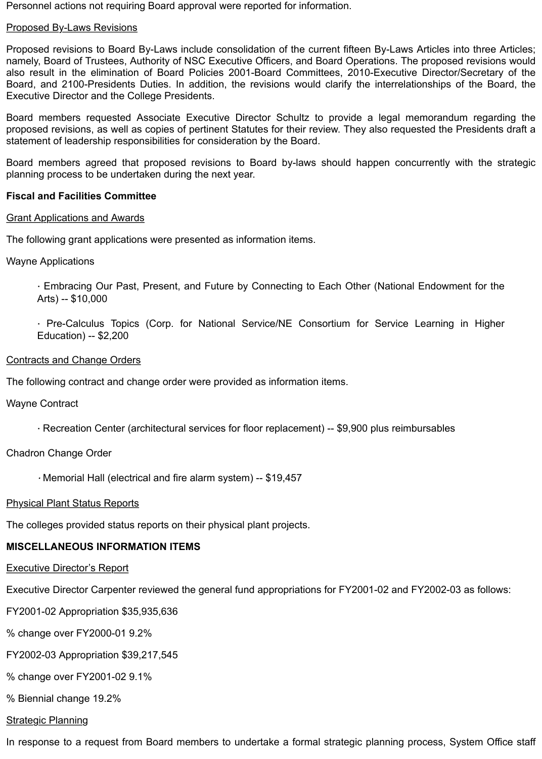Personnel actions not requiring Board approval were reported for information.

### Proposed By-Laws Revisions

Proposed revisions to Board By-Laws include consolidation of the current fifteen By-Laws Articles into three Articles; namely, Board of Trustees, Authority of NSC Executive Officers, and Board Operations. The proposed revisions would also result in the elimination of Board Policies 2001-Board Committees, 2010-Executive Director/Secretary of the Board, and 2100-Presidents Duties. In addition, the revisions would clarify the interrelationships of the Board, the Executive Director and the College Presidents.

Board members requested Associate Executive Director Schultz to provide a legal memorandum regarding the proposed revisions, as well as copies of pertinent Statutes for their review. They also requested the Presidents draft a statement of leadership responsibilities for consideration by the Board.

Board members agreed that proposed revisions to Board by-laws should happen concurrently with the strategic planning process to be undertaken during the next year.

### **Fiscal and Facilities Committee**

### Grant Applications and Awards

The following grant applications were presented as information items.

### Wayne Applications

· Embracing Our Past, Present, and Future by Connecting to Each Other (National Endowment for the Arts) -- \$10,000

· Pre-Calculus Topics (Corp. for National Service/NE Consortium for Service Learning in Higher Education) -- \$2,200

### Contracts and Change Orders

The following contract and change order were provided as information items.

Wayne Contract

· Recreation Center (architectural services for floor replacement) -- \$9,900 plus reimbursables

# Chadron Change Order

· Memorial Hall (electrical and fire alarm system) -- \$19,457

### Physical Plant Status Reports

The colleges provided status reports on their physical plant projects.

# **MISCELLANEOUS INFORMATION ITEMS**

**Executive Director's Report** 

Executive Director Carpenter reviewed the general fund appropriations for FY2001-02 and FY2002-03 as follows:

FY2001-02 Appropriation \$35,935,636

% change over FY2000-01 9.2%

FY2002-03 Appropriation \$39,217,545

% change over FY2001-02 9.1%

% Biennial change 19.2%

### Strategic Planning

In response to a request from Board members to undertake a formal strategic planning process, System Office staff